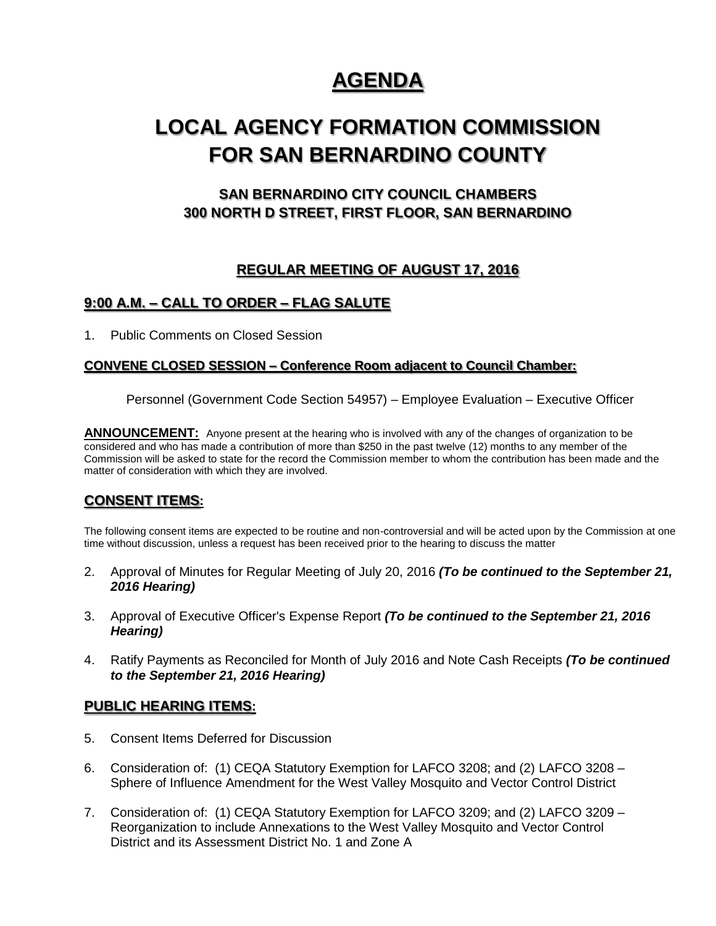# **AGENDA**

# **LOCAL AGENCY FORMATION COMMISSION FOR SAN BERNARDINO COUNTY**

# **SAN BERNARDINO CITY COUNCIL CHAMBERS 300 NORTH D STREET, FIRST FLOOR, SAN BERNARDINO**

# **REGULAR MEETING OF AUGUST 17, 2016**

# **9:00 A.M. – CALL TO ORDER – FLAG SALUTE**

1. Public Comments on Closed Session

#### **CONVENE CLOSED SESSION – Conference Room adjacent to Council Chamber:**

Personnel (Government Code Section 54957) – Employee Evaluation – Executive Officer

**ANNOUNCEMENT:** Anyone present at the hearing who is involved with any of the changes of organization to be considered and who has made a contribution of more than \$250 in the past twelve (12) months to any member of the Commission will be asked to state for the record the Commission member to whom the contribution has been made and the matter of consideration with which they are involved.

### **CONSENT ITEMS:**

The following consent items are expected to be routine and non-controversial and will be acted upon by the Commission at one time without discussion, unless a request has been received prior to the hearing to discuss the matter

- 2. Approval of Minutes for Regular Meeting of July 20, 2016 *(To be continued to the September 21, 2016 Hearing)*
- 3. Approval of Executive Officer's Expense Report *(To be continued to the September 21, 2016 Hearing)*
- 4. Ratify Payments as Reconciled for Month of July 2016 and Note Cash Receipts *(To be continued to the September 21, 2016 Hearing)*

### **PUBLIC HEARING ITEMS:**

- 5. Consent Items Deferred for Discussion
- 6. Consideration of: (1) CEQA Statutory Exemption for LAFCO 3208; and (2) LAFCO 3208 Sphere of Influence Amendment for the West Valley Mosquito and Vector Control District
- 7. Consideration of: (1) CEQA Statutory Exemption for LAFCO 3209; and (2) LAFCO 3209 Reorganization to include Annexations to the West Valley Mosquito and Vector Control District and its Assessment District No. 1 and Zone A